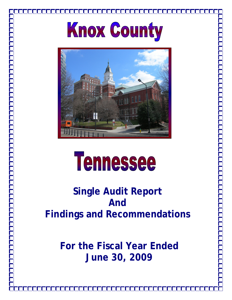# **Knox County**



# **Tennessee**

# **Single Audit Report And Findings and Recommendations**

**For the Fiscal Year Ended June 30, 2009**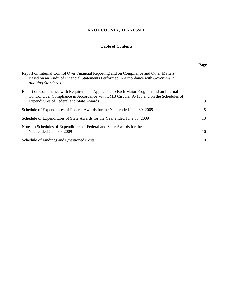# **Table of Contents**

|                                                                                                                                                                                                                                     | Page |
|-------------------------------------------------------------------------------------------------------------------------------------------------------------------------------------------------------------------------------------|------|
| Report on Internal Control Over Financial Reporting and on Compliance and Other Matters<br>Based on an Audit of Financial Statements Performed in Accordance with Government<br><b>Auditing Standards</b>                           |      |
| Report on Compliance with Requirements Applicable to Each Major Program and on Internal<br>Control Over Compliance in Accordance with OMB Circular A-133 and on the Schedules of<br><b>Expenditures of Federal and State Awards</b> | 3    |
| Schedule of Expenditures of Federal Awards for the Year ended June 30, 2009                                                                                                                                                         | 5    |
| Schedule of Expenditures of State Awards for the Year ended June 30, 2009                                                                                                                                                           | 13   |
| Notes to Schedules of Expenditures of Federal and State Awards for the<br>Year ended June 30, 2009                                                                                                                                  | 16   |
| Schedule of Findings and Questioned Costs                                                                                                                                                                                           | 18   |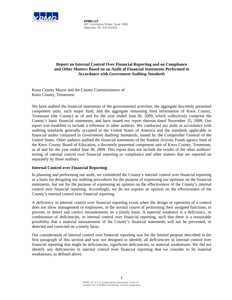

 **KPMG LLP**  401 Commerce Street, Suite 1000 Nashville, TN 37219-2422

# **Report on Internal Control Over Financial Reporting and on Compliance and Other Matters Based on an Audit of Financial Statements Performed in Accordance with** *Government Auditing Standards*

Knox County Mayor and the County Commissioners of Knox County, Tennessee:

We have audited the financial statements of the governmental activities, the aggregate discretely presented component units, each major fund, and the aggregate remaining fund information of Knox County, Tennessee (the County) as of and for the year ended June 30, 2009, which collectively comprise the County's basic financial statements, and have issued our report thereon dated November 25, 2009. Our report was modified to include a reference to other auditors. We conducted our audit in accordance with auditing standards generally accepted in the United States of America and the standards applicable to financial audits contained in *Government Auditing Standards*, issued by the Comptroller General of the United States. Other auditors audited the financial statements of the Student Activity Funds agency fund of the Knox County Board of Education, a discretely presented component unit of Knox County, Tennessee, as of and for the year ended June 30, 2009. This report does not include the results of the other auditors' testing of internal control over financial reporting or compliance and other matters that are reported on separately by those auditors.

# **Internal Control over Financial Reporting**

In planning and performing our audit, we considered the County's internal control over financial reporting as a basis for designing our auditing procedures for the purpose of expressing our opinions on the financial statements, but not for the purpose of expressing an opinion on the effectiveness of the County's internal control over financial reporting. Accordingly, we do not express an opinion on the effectiveness of the County's internal control over financial reporting.

A deficiency in internal control over financial reporting exists when the design or operation of a control does not allow management or employees, in the normal course of performing their assigned functions, to prevent, or detect and correct misstatements on a timely basis. A material weakness is a deficiency, or combination of deficiencies, in internal control over financial reporting, such that there is a reasonable possibility that a material misstatement of the County's financial statements will not be prevented, or detected and corrected on a timely basis.

Our consideration of internal control over financial reporting was for the limited purpose described in the first paragraph of this section and was not designed to identify all deficiencies in internal control over financial reporting that might be deficiencies, significant deficiencies, or material weaknesses. We did not identify any deficiencies in internal control over financial reporting that we consider to be material weaknesses, as defined above.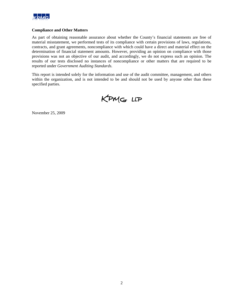

# **Compliance and Other Matters**

As part of obtaining reasonable assurance about whether the County's financial statements are free of material misstatement, we performed tests of its compliance with certain provisions of laws, regulations, contracts, and grant agreements, noncompliance with which could have a direct and material effect on the determination of financial statement amounts. However, providing an opinion on compliance with those provisions was not an objective of our audit, and accordingly, we do not express such an opinion. The results of our tests disclosed no instances of noncompliance or other matters that are required to be reported under *Government Auditing Standards*.

This report is intended solely for the information and use of the audit committee, management, and others within the organization, and is not intended to be and should not be used by anyone other than these specified parties.

KPMG LLP

November 25, 2009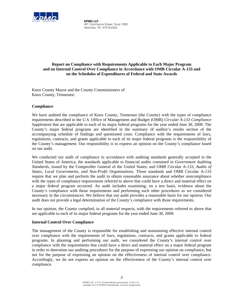

 **KPMG LLP**  401 Commerce Street, Suite 1000 Nashville, TN 37219-2422

# **Report on Compliance with Requirements Applicable to Each Major Program and on Internal Control Over Compliance in Accordance with OMB Circular A-133 and on the Schedules of Expenditures of Federal and State Awards**

Knox County Mayor and the County Commissioners of Knox County, Tennessee:

# **Compliance**

We have audited the compliance of Knox County, Tennessee (the County) with the types of compliance requirements described in the U.S. Office of Management and Budget (OMB) *Circular A-133 Compliance Supplement* that are applicable to each of its major federal programs for the year ended June 30, 2009. The County's major federal programs are identified in the summary of auditor's results section of the accompanying schedule of findings and questioned costs. Compliance with the requirements of laws, regulations, contracts, and grants applicable to each of its major federal programs is the responsibility of the County's management. Our responsibility is to express an opinion on the County's compliance based on our audit.

We conducted our audit of compliance in accordance with auditing standards generally accepted in the United States of America; the standards applicable to financial audits contained in *Government Auditing Standards*, issued by the Comptroller General of the United States; and OMB Circular A-133, *Audits of States, Local Governments, and Non-Profit Organizations*. Those standards and OMB Circular A-133 require that we plan and perform the audit to obtain reasonable assurance about whether noncompliance with the types of compliance requirements referred to above that could have a direct and material effect on a major federal program occurred. An audit includes examining, on a test basis, evidence about the County's compliance with those requirements and performing such other procedures as we considered necessary in the circumstances. We believe that our audit provides a reasonable basis for our opinion. Our audit does not provide a legal determination of the County's compliance with those requirements.

In our opinion, the County complied, in all material respects, with the requirements referred to above that are applicable to each of its major federal programs for the year ended June 30, 2009.

# **Internal Control Over Compliance**

The management of the County is responsible for establishing and maintaining effective internal control over compliance with the requirements of laws, regulations, contracts, and grants applicable to federal programs. In planning and performing our audit, we considered the County's internal control over compliance with the requirements that could have a direct and material effect on a major federal program in order to determine our auditing procedures for the purpose of expressing our opinion on compliance, but not for the purpose of expressing an opinion on the effectiveness of internal control over compliance. Accordingly, we do not express an opinion on the effectiveness of the County's internal control over compliance.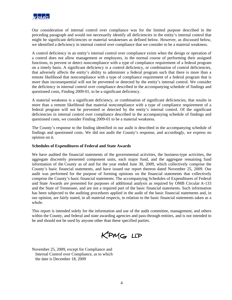

Our consideration of internal control over compliance was for the limited purpose described in the preceding paragraph and would not necessarily identify all deficiencies in the entity's internal control that might be significant deficiencies or material weaknesses as defined below. However, as discussed below, we identified a deficiency in internal control over compliance that we consider to be a material weakness.

A control deficiency in an entity's internal control over compliance exists when the design or operation of a control does not allow management or employees, in the normal course of performing their assigned functions, to prevent or detect noncompliance with a type of compliance requirement of a federal program on a timely basis. A significant deficiency is a control deficiency, or combination of control deficiencies, that adversely affects the entity's ability to administer a federal program such that there is more than a remote likelihood that noncompliance with a type of compliance requirement of a federal program that is more than inconsequential will not be prevented or detected by the entity's internal control. We consider the deficiency in internal control over compliance described in the accompanying schedule of findings and questioned costs, Finding 2009-01, to be a significant deficiency.

A material weakness is a significant deficiency, or combination of significant deficiencies, that results in more than a remote likelihood that material noncompliance with a type of compliance requirement of a federal program will not be prevented or detected by the entity's internal control. Of the significant deficiencies in internal control over compliance described in the accompanying schedule of findings and questioned costs, we consider Finding 2009-01 to be a material weakness.

The County's response to the finding identified in our audit is described in the accompanying schedule of findings and questioned costs. We did not audit the County's response, and accordingly, we express no opinion on it.

# **Schedules of Expenditures of Federal and State Awards**

We have audited the financial statements of the governmental activities, the business-type activities, the aggregate discretely presented component units, each major fund, and the aggregate remaining fund information of the County as of and for the year ended June 30, 2009, which collectively comprise the County's basic financial statements, and have issued our report thereon dated November 25, 2009. Our audit was performed for the purpose of forming opinions on the financial statements that collectively comprise the County's basic financial statements. The accompanying Schedules of Expenditures of Federal and State Awards are presented for purposes of additional analysis as required by OMB Circular A-133 and the State of Tennessee, and are not a required part of the basic financial statements. Such information has been subjected to the auditing procedures applied in the audit of the basic financial statements and, in our opinion, are fairly stated, in all material respects, in relation to the basic financial statements taken as a whole.

This report is intended solely for the information and use of the audit committee, management, and others within the County, and federal and state awarding agencies and pass-through entities, and is not intended to be and should not be used by anyone other than these specified parties.

KPMG LLP

November 25, 2009, except for Compliance and Internal Control over Compliance, as to which the date is December 18, 2009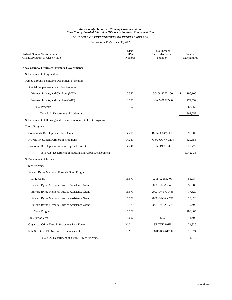# *SCHEDULE OF EXPENDITURES OF FEDERAL AWARDS*

| Federal Grantor/Pass-through                                      | Federal<br><b>CFDA</b> | Pass Through<br><b>Entity Identifying</b> | Federal       |
|-------------------------------------------------------------------|------------------------|-------------------------------------------|---------------|
| Grantor/Program or Cluster Title                                  | Number                 | Number                                    | Expenditures  |
|                                                                   |                        |                                           |               |
| <b>Knox County, Tennessee (Primary Government):</b>               |                        |                                           |               |
| U.S. Department of Agriculture:                                   |                        |                                           |               |
| Passed through Tennessee Department of Health:                    |                        |                                           |               |
| Special Supplemental Nutrition Program:                           |                        |                                           |               |
| Women, Infants, and Children (WIC)                                | 10.557                 | GG-08-22721-00                            | \$<br>196,100 |
| Women, Infants, and Children (WIC)                                | 10.557                 | GG-09-26592-00                            | 771,552       |
| <b>Total Program</b>                                              | 10.557                 |                                           | 967,652       |
| Total U.S. Department of Agriculture                              |                        |                                           | 967,652       |
| U.S. Department of Housing and Urban Development Direct Programs: |                        |                                           |               |
| Direct Programs:                                                  |                        |                                           |               |
| <b>Community Development Block Grant</b>                          | 14.218                 | B-05-UC-47-0001                           | 698,308       |
| <b>HOME</b> Investment Partnerships Programs                      | 14.239                 | M-00-UC-47-0204                           | 320,355       |
| Economic Development Initiative Special Projects                  | 14.246                 | B04SPTN0749                               | 23,772        |
| Total U.S. Department of Housing and Urban Development            |                        |                                           | 1,042,435     |
| U.S. Department of Justice:                                       |                        |                                           |               |
| Direct Programs:                                                  |                        |                                           |               |
| Edward Byrne Memorial Formula Grant Program:                      |                        |                                           |               |
| Drug Court                                                        | 16.579                 | Z-05-025532-00                            | 485,984       |
| Edward Byrne Memorial Justice Assistance Grant                    | 16.579                 | 2008-DJ-BX-0453                           | 57,980        |
| Edward Byrne Memorial Justice Assistance Grant                    | 16.579                 | 2007-DJ-BX-0485                           | 77,520        |
| Edward Byrne Memorial Justice Assistance Grant                    | 16.579                 | 2006-DJ-BX-0729                           | 29,023        |
| Edward Byrne Memorial Justice Assistance Grant                    | 16.579                 | 2005-DJ-BX-0234                           | 49,498        |
| <b>Total Program</b>                                              | 16.579                 |                                           | 700,005       |
| <b>Bulletproof Vest</b>                                           | 16.607                 | N/A                                       | 1,407         |
| Organized Crime Drug Enforcement Task Forces                      | N/A                    | SE-TNE-191H                               | 24,326        |
| Safe Streets - FBI Overtime Reimbursement                         | N/A                    | 281D-KX-61230                             | 19,074        |
| Total U.S. Department of Justice Direct Programs                  |                        |                                           | 744,812       |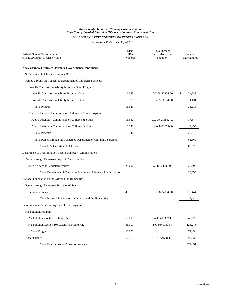# *SCHEDULE OF EXPENDITURES OF FEDERAL AWARDS*

| Federal Grantor/Pass-through<br>Grantor/Program or Cluster Title     | Federal<br><b>CFDA</b><br>Number | Pass Through<br><b>Entity Identifying</b><br>Number | Federal<br>Expenditures |
|----------------------------------------------------------------------|----------------------------------|-----------------------------------------------------|-------------------------|
| <b>Knox County, Tennessee (Primary Government) (continued):</b>      |                                  |                                                     |                         |
| U.S. Department of Justice (continued):                              |                                  |                                                     |                         |
| Passed through the Tennessee Department of Children's Services:      |                                  |                                                     |                         |
|                                                                      |                                  |                                                     |                         |
| Juvenile Court Accountability Incentive Grant Program:               | 16.523                           | GG-08-22855-00                                      | \$<br>34,087            |
| Juvenile Court Accountability Incentive Grant                        |                                  |                                                     |                         |
| Juvenile Court Accountability Incentive Grant                        | 16.523                           | GG-09-26614-00                                      | 4,131                   |
| <b>Total Program</b>                                                 | 16.523                           |                                                     | 38,218                  |
| Public Defender - Commission on Children & Youth Program:            |                                  |                                                     |                         |
| Public Defender - Commission on Children & Youth                     | 16.540                           | GG-09-213552-00                                     | 17,647                  |
| Public Defender - Commission on Children & Youth                     | 16.540                           | GG-08-22765-00                                      | 7,995                   |
| <b>Total Program</b>                                                 | 16.540                           |                                                     | 25,642                  |
| Total Passed through the Tennessee Department of Children's Services |                                  |                                                     | 63,860                  |
| Total U.S. Department of Justice                                     |                                  |                                                     | 808,672                 |
| Department of Transportation Federal Highway Administration:         |                                  |                                                     |                         |
| Passed through Tennessee Dept. of Transportation:                    |                                  |                                                     |                         |
| Sheriff's Alcohol Countermeasures                                    | 20.607                           | Z-08-024033-00                                      | 25,595                  |
| Total Department of Transportation Federal Highway Administration    |                                  |                                                     | 25,595                  |
| National Foundation on the Arts and the Humanities:                  |                                  |                                                     |                         |
| Passed through Tennessee Secretary of State:                         |                                  |                                                     |                         |
| <b>Library Services</b>                                              | 45.310                           | GG-08-24864-00                                      | 15,444                  |
| Total National Foundation on the Arts and the Humanities             |                                  |                                                     | 15,444                  |
| <b>Environmental Protection Agency Direct Programs:</b>              |                                  |                                                     |                         |
| Air Pollution Program:                                               |                                  |                                                     |                         |
| Air Pollution Control Section 105                                    | 66.001                           | A-00408307-1                                        | 248,222                 |
| Air Pollution Section 103 Clean Air Monitoring                       | 66.001                           | PM-96497608-0                                       | 126,276                 |
| <b>Total Program</b>                                                 | 66.001                           |                                                     | 374,498                 |
| <b>Water Quality</b>                                                 | 66.463                           | CP-96455806                                         | 96,533                  |
| <b>Total Environmental Protection Agency</b>                         |                                  |                                                     | 471,031                 |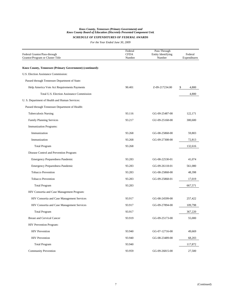# *SCHEDULE OF EXPENDITURES OF FEDERAL AWARDS*

| Federal Grantor/Pass-through<br>Grantor/Program or Cluster Title | Federal<br><b>CFDA</b><br>Number | Pass Through<br><b>Entity Identifying</b><br>Number | Federal<br>Expenditures |
|------------------------------------------------------------------|----------------------------------|-----------------------------------------------------|-------------------------|
| Knox County, Tennessee (Primary Government) (continued):         |                                  |                                                     |                         |
| U.S. Election Assistance Commission:                             |                                  |                                                     |                         |
| Passed through Tennessee Department of State:                    |                                  |                                                     |                         |
| Help America Vote Act Requirements Payments                      | 90.401                           | 7-09-217234.00                                      | 4,800<br>S              |
| Total U.S. Election Assistance Commission                        |                                  |                                                     | 4,800                   |
| U. S. Department of Health and Human Services:                   |                                  |                                                     |                         |
| Passed through Tennessee Department of Health:                   |                                  |                                                     |                         |
| <b>Tuberculosis Nursing</b>                                      | 93.116                           | GG-09-25487-00                                      | 122,171                 |
| <b>Family Planning Services</b>                                  | 93.217                           | GU-09-25168-00                                      | 300,600                 |
| <b>Immunization Programs:</b>                                    |                                  |                                                     |                         |
| Immunization                                                     | 93.268                           | GG-08-25868-00                                      | 59,803                  |
| Immunization                                                     | 93.268                           | GG-09-27308-00                                      | 72,813                  |
| <b>Total Program</b>                                             | 93.268                           |                                                     | 132,616                 |
| Disease Control and Prevention Program:                          |                                  |                                                     |                         |
| <b>Emergency Preparedness Pandemic</b>                           | 93.283                           | GG-08-22530-01                                      | 41,074                  |
| <b>Emergency Preparedness Pandemic</b>                           | 93.283                           | GG-09-26118-01                                      | 561,080                 |
| <b>Tobacco Prevention</b>                                        | 93.283                           | GG-08-25868-00                                      | 48,398                  |
| <b>Tobacco Prevention</b>                                        | 93.283                           | GG-09-25868-01                                      | 17,019                  |
| <b>Total Program</b>                                             | 93.283                           |                                                     | 667,571                 |
| HIV Consortia and Case Management Program:                       |                                  |                                                     |                         |
| HIV Consortia and Case Management Services                       | 93.917                           | GG-08-24599-00                                      | 257,422                 |
| HIV Consortia and Case Management Services                       | 93.917                           | GG-09-27894-00                                      | 109,798                 |
| <b>Total Program</b>                                             | 93.917                           |                                                     | 367,220                 |
| <b>Breast and Cervical Cancer</b>                                | 93.919                           | GG-09-25173-00                                      | 55,000                  |
| HIV Prevention Program:                                          |                                  |                                                     |                         |
| <b>HIV</b> Prevention                                            | 93.940                           | GG-07-12716-00                                      | 49,669                  |
| <b>HIV</b> Prevention                                            | 93.940                           | GG-08-23489-00                                      | 68,203                  |
| <b>Total Program</b>                                             | 93.940                           |                                                     | 117,872                 |
| <b>Community Prevention</b>                                      | 93.959                           | GG-09-26815-00                                      | 27,500                  |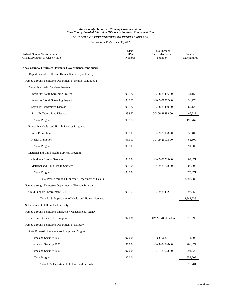# *SCHEDULE OF EXPENDITURES OF FEDERAL AWARDS*

| Federal Grantor/Pass-through<br>Grantor/Program or Cluster Title | Federal<br><b>CFDA</b><br>Number | Pass Through<br><b>Entity Identifying</b><br>Number | Federal<br>Expenditures |
|------------------------------------------------------------------|----------------------------------|-----------------------------------------------------|-------------------------|
| Knox County, Tennessee (Primary Government) (continued):         |                                  |                                                     |                         |
| U. S. Department of Health and Human Services (continued):       |                                  |                                                     |                         |
| Passed through Tennessee Department of Health (continued):       |                                  |                                                     |                         |
|                                                                  |                                  |                                                     |                         |
| Preventive Health Services Program:                              |                                  |                                                     |                         |
| Infertility Youth Screening Project                              | 93.977                           | GG-08-23486-00                                      | 34,150<br>\$            |
| Infertility Youth Screening Project                              | 93.977                           | GG-09-26917-00                                      | 36,773                  |
| <b>Sexually Transmitted Disease</b>                              | 93.977                           | GG-08-23489-00                                      | 60,127                  |
| <b>Sexually Transmitted Disease</b>                              | 93.977                           | GG-09-28498-00                                      | 66,717                  |
| <b>Total Program</b>                                             | 93.977                           |                                                     | 197,767                 |
| Preventive Health and Health Services Program:                   |                                  |                                                     |                         |
| Rape Prevention                                                  | 93.991                           | GG-09-25908-00                                      | 30,400                  |
| <b>Health Promotion</b>                                          | 93.991                           | GG-09-26173-00                                      | 61,500                  |
| <b>Total Program</b>                                             | 93.991                           |                                                     | 91,900                  |
| Maternal and Child Health Services Program:                      |                                  |                                                     |                         |
| Children's Special Services                                      | 93.994                           | GG-09-25205-00                                      | 67,371                  |
| Maternal and Child Health Services                               | 93.994                           | GU-09-25168-00                                      | 306,300                 |
| <b>Total Program</b>                                             | 93.994                           |                                                     | 373,671                 |
| Total Passed through Tennessee Department of Health              |                                  |                                                     | 2,453,888               |
| Passed through Tennessee Department of Human Services:           |                                  |                                                     |                         |
| Child Support Enforcement IV-D                                   | 93.563                           | GG-09-25452-01                                      | 393,850                 |
| Total U.S. Department of Health and Human Services               |                                  |                                                     | 2,847,738               |
| U.S. Department of Homeland Security:                            |                                  |                                                     |                         |
| Passed through Tennessee Emergency Management Agency:            |                                  |                                                     |                         |
| Hurricane Gustav Relief Program                                  | 97.036                           | FEMA-1786-DR-LA                                     | 18,999                  |
| Passed through Tennessee Department of Military:                 |                                  |                                                     |                         |
| State Domestic Preparedness Equipment Program:                   |                                  |                                                     |                         |
| Homeland Security 2008                                           | 97.004                           | GG-3958                                             | 1,800                   |
| Homeland Security 2007                                           | 97.004                           | GG-08-24520-00                                      | 266,377                 |
| Homeland Security 2006                                           | 97.004                           | GG-07-23623-00                                      | 291,525                 |
| <b>Total Program</b>                                             | 97.004                           |                                                     | 559,702                 |
| Total U.S. Department of Homeland Security                       |                                  |                                                     | 578,701                 |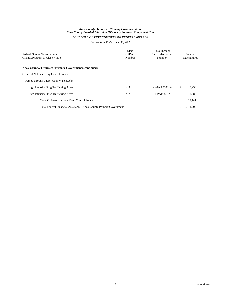# *SCHEDULE OF EXPENDITURES OF FEDERAL AWARDS*

|                                                                    | Federal     | Pass Through              |              |
|--------------------------------------------------------------------|-------------|---------------------------|--------------|
| Federal Grantor/Pass-through                                       | <b>CFDA</b> | <b>Entity Identifying</b> | Federal      |
| Grantor/Program or Cluster Title                                   | Number      | Number                    | Expenditures |
|                                                                    |             |                           |              |
| Knox County, Tennessee (Primary Government) (continued):           |             |                           |              |
| Office of National Drug Control Policy:                            |             |                           |              |
| Passed through Laurel County, Kentucky:                            |             |                           |              |
| High Intensity Drug Trafficking Areas                              | N/A         | $G-09-AP0001A$            | \$<br>9.256  |
| <b>High Intensity Drug Trafficking Areas</b>                       | N/A         | I8PAPP501Z                | 2,885        |
| <b>Total Office of National Drug Control Policy</b>                |             |                           | 12,141       |
| Total Federal Financial Assistance--Knox County Primary Government |             |                           | 6,774,209    |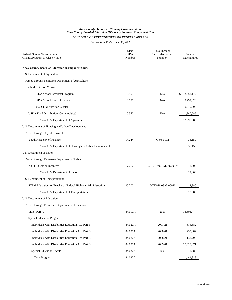# *SCHEDULE OF EXPENDITURES OF FEDERAL AWARDS*

| Federal Grantor/Pass-through<br>Grantor/Program or Cluster Title | Federal<br><b>CFDA</b><br>Number | Pass Through<br><b>Entity Identifying</b><br>Number | Federal<br>Expenditures |
|------------------------------------------------------------------|----------------------------------|-----------------------------------------------------|-------------------------|
|                                                                  |                                  |                                                     |                         |
| Knox County Board of Education (Component Unit):                 |                                  |                                                     |                         |
| U.S. Department of Agriculture:                                  |                                  |                                                     |                         |
| Passed through Tennessee Department of Agriculture:              |                                  |                                                     |                         |
| <b>Child Nutrition Cluster:</b>                                  |                                  |                                                     |                         |
| <b>USDA School Breakfast Program</b>                             | 10.553                           | N/A                                                 | \$<br>2,652,172         |
| USDA School Lunch Program                                        | 10.555                           | N/A                                                 | 8,297,826               |
| <b>Total Child Nutrition Cluster</b>                             |                                  |                                                     | 10,949,998              |
| <b>USDA Food Distribution (Commodities)</b>                      | 10.550                           | N/A                                                 | 1,340,685               |
| Total U.S. Department of Agriculture                             |                                  |                                                     | 12,290,683              |
| U.S. Department of Housing and Urban Development:                |                                  |                                                     |                         |
| Passed through City of Knoxville:                                |                                  |                                                     |                         |
| Youth Academy of Finance                                         | 14.244                           | $C-06-0172$                                         | 38,159                  |
| Total U.S. Department of Housing and Urban Development           |                                  |                                                     | 38,159                  |
| U.S. Department of Labor:                                        |                                  |                                                     |                         |
| Passed through Tennessee Department of Labor:                    |                                  |                                                     |                         |
| <b>Adult Education Incentive</b>                                 | 17.267                           | 07-16-FY6-1AE-NCNTV                                 | 12,000                  |
| Total U.S. Department of Labor                                   |                                  |                                                     | 12,000                  |
| U.S. Department of Transportation:                               |                                  |                                                     |                         |
| STEM Education for Teachers - Federal Highway Administration     | 20.200                           | DTFH61-08-G-00020                                   | 12,986                  |
| Total U.S. Department of Transportation                          |                                  |                                                     | 12,986                  |
| U.S. Department of Education:                                    |                                  |                                                     |                         |
| Passed through Tennessee Department of Education:                |                                  |                                                     |                         |
| Title I Part A                                                   | 84.010A                          | 2009                                                | 13,603,444              |
| Special Education Program:                                       |                                  |                                                     |                         |
| Individuals with Disabilities Education Act Part B               | 84.027A                          | 2007.21                                             | 674,682                 |
| Individuals with Disabilities Education Act Part B               | 84.027A                          | 2008.01                                             | 235,082                 |
| Individuals with Disabilities Education Act Part B               | 84.027A                          | 2008.21                                             | 132,795                 |
| Individuals with Disabilities Education Act Part B               | 84.027A                          | 2009.01                                             | 10,329,371              |
| Special Education - AYP                                          | 84.027A                          | 2009                                                | 72,388                  |
| <b>Total Program</b>                                             | 84.027A                          |                                                     | 11,444,318              |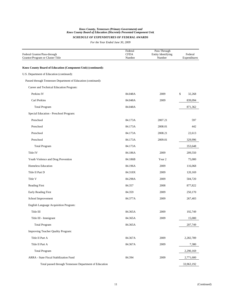# *SCHEDULE OF EXPENDITURES OF FEDERAL AWARDS*

| Federal Grantor/Pass-through<br>Grantor/Program or Cluster Title | Federal<br><b>CFDA</b><br>Number | Pass Through<br><b>Entity Identifying</b><br>Number | Federal<br>Expenditures |
|------------------------------------------------------------------|----------------------------------|-----------------------------------------------------|-------------------------|
| Knox County Board of Education (Component Unit) (continued):     |                                  |                                                     |                         |
| U.S. Department of Education (continued):                        |                                  |                                                     |                         |
| Passed through Tennessee Department of Education (continued):    |                                  |                                                     |                         |
| Career and Technical Education Program:                          |                                  |                                                     |                         |
| Perkins IV                                                       | 84.048A                          | 2009                                                | \$<br>32,268            |
| Carl Perkins                                                     | 84.048A                          | 2009                                                | 839,094                 |
| <b>Total Program</b>                                             | 84.048A                          |                                                     | 871,362                 |
| Special Education - Preschool Program:                           |                                  |                                                     |                         |
| Preschool                                                        | 84.173A                          | 2007.21                                             | 597                     |
| Preschool                                                        | 84.173A                          | 2008.01                                             | 442                     |
| Preschool                                                        | 84.173A                          | 2008.21                                             | 22,613                  |
| Preschool                                                        | 84.173A                          | 2009.01                                             | 329,996                 |
| <b>Total Program</b>                                             | 84.173A                          |                                                     | 353,648                 |
| Title IV                                                         | 84.186A                          | 2009                                                | 209,550                 |
| Youth Violence and Drug Prevention                               | 84.186B                          | Year 2                                              | 75,000                  |
| Homeless Education                                               | 84.196A                          | 2009                                                | 116,068                 |
| Title II Part D                                                  | 84.318X                          | 2009                                                | 120,169                 |
| Title V                                                          | 84.298A                          | 2009                                                | 504,720                 |
| <b>Reading First</b>                                             | 84.357                           | 2008                                                | 877,822                 |
| Early Reading First                                              | 84.359                           | 2009                                                | 250,170                 |
| School Improvement                                               | 84.377A                          | 2009                                                | 267,403                 |
| English Language Acquisition Program:                            |                                  |                                                     |                         |
| Title III                                                        | 84.365A                          | 2009                                                | 192,749                 |
| Title III - Immigrant                                            | 84.365A                          | 2009                                                | 15,000                  |
| <b>Total Program</b>                                             | 84.365A                          |                                                     | 207,749                 |
| Improving Teacher Quality Program:                               |                                  |                                                     |                         |
| Title II Part A                                                  | 84.367A                          | 2009                                                | 2,282,789               |
| Title II Part A                                                  | 84.367A                          | 2009                                                | 7,380                   |
| <b>Total Program</b>                                             |                                  |                                                     | 2,290,169               |
| ARRA - State Fiscal Stabilization Fund                           | 84.394                           | 2009                                                | 2,771,600               |
| Total passed through Tennessee Department of Education           |                                  |                                                     | 33,963,192              |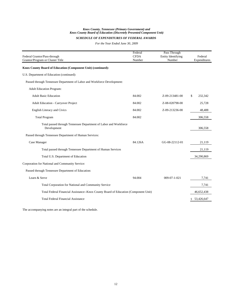# *SCHEDULE OF EXPENDITURES OF FEDERAL AWARDS*

*For the Year Ended June 30, 2009*

| Federal Grantor/Pass-through<br>Grantor/Program or Cluster Title                    | Federal<br><b>CFDA</b><br>Number | Pass Through<br><b>Entity Identifying</b><br>Number | Federal<br>Expenditures |
|-------------------------------------------------------------------------------------|----------------------------------|-----------------------------------------------------|-------------------------|
| Knox County Board of Education (Component Unit) (continued):                        |                                  |                                                     |                         |
| U.S. Department of Education (continued):                                           |                                  |                                                     |                         |
| Passed through Tennessee Department of Labor and Workforce Development:             |                                  |                                                     |                         |
| <b>Adult Education Program:</b>                                                     |                                  |                                                     |                         |
| <b>Adult Basic Education</b>                                                        | 84.002                           | Z-09-213481-00                                      | \$<br>232,342           |
| <b>Adult Education - Carryover Project</b>                                          | 84.002                           | Z-08-020798-00                                      | 25,728                  |
| <b>English Literacy and Civics</b>                                                  | 84.002                           | Z-09-213236-00                                      | 48,488                  |
| <b>Total Program</b>                                                                | 84.002                           |                                                     | 306,558                 |
| Total passed through Tennessee Department of Labor and Workforce<br>Development     |                                  |                                                     | 306,558                 |
| Passed through Tennessee Department of Human Services:                              |                                  |                                                     |                         |
| Case Manager                                                                        | 84.126A                          | GG-08-22112-01                                      | 21.119                  |
| Total passed through Tennessee Department of Human Services                         |                                  |                                                     | 21,119                  |
| Total U.S. Department of Education                                                  |                                  |                                                     | 34,290,869              |
| Corporation for National and Community Service:                                     |                                  |                                                     |                         |
| Passed through Tennessee Department of Education:                                   |                                  |                                                     |                         |
| Learn & Serve                                                                       | 94.004                           | $009-07-1-021$                                      | 7,741                   |
| Total Corporation for National and Community Service                                |                                  |                                                     | 7,741                   |
| Total Federal Financial Assistance--Knox County Board of Education (Component Unit) |                                  |                                                     | 46,652,438              |
| <b>Total Federal Financial Assistance</b>                                           |                                  |                                                     | 53,426,647<br>s         |

The accompanying notes are an integral part of the schedule.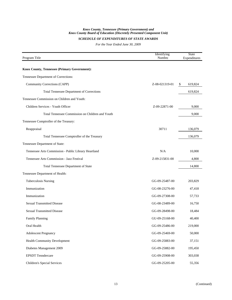# *SCHEDULE OF EXPENDITURES OF STATE AWARDS*

| Program Title                                        | Identifying<br>Number | <b>State</b><br>Expenditures |
|------------------------------------------------------|-----------------------|------------------------------|
|                                                      |                       |                              |
| Knox County, Tennessee (Primary Government):         |                       |                              |
| Tennessee Department of Corrections:                 |                       |                              |
| Community Corrections (CAPP)                         | Z-08-021319-01        | 619,824<br>\$                |
| <b>Total Tennessee Department of Corrections</b>     |                       | 619,824                      |
| Tennessee Commission on Children and Youth:          |                       |                              |
| Children Services - Youth Officer                    | Z-09-22871-00         | 9,000                        |
| Total Tennessee Commission on Children and Youth     |                       | 9,000                        |
| Tennessee Comptroller of the Treasury:               |                       |                              |
| Reappraisal                                          | 30711                 | 136,079                      |
| Total Tennessee Comptroller of the Treasury          |                       | 136,079                      |
| Tennessee Department of State:                       |                       |                              |
| Tennessee Arts Commission - Public Library Heartland | N/A                   | 10,000                       |
| Tennessee Arts Commission - Jazz Festival            | Z-09-215831-00        | 4,800                        |
| Total Tennessee Department of State                  |                       | 14,800                       |
| Tennessee Department of Health:                      |                       |                              |
| <b>Tuberculosis Nursing</b>                          | GG-09-25487-00        | 203,829                      |
| Immunization                                         | GG-08-23276-00        | 47,418                       |
| Immunization                                         | GG-09-27308-00        | 57,733                       |
| <b>Sexual Transmitted Disease</b>                    | GG-08-23489-00        | 16,750                       |
| <b>Sexual Transmitted Disease</b>                    | GG-09-28498-00        | 18,484                       |
| <b>Family Planning</b>                               | GU-09-25168-00        | 40,400                       |
| Oral Health                                          | GG-09-25486-00        | 219,000                      |
| <b>Adolescent Pregnancy</b>                          | GG-09-25469-00        | 50,000                       |
| <b>Health Community Development</b>                  | GG-09-25883-00        | 37,151                       |
| Diabetes Management 2009                             | GG-09-25882-00        | 195,450                      |
| <b>EPSDT</b> Tenndercare                             | GG-09-25908-00        | 303,038                      |
| Children's Special Services                          | GG-09-25205-00        | 55,356                       |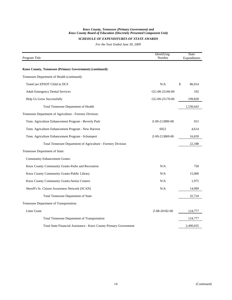# *SCHEDULE OF EXPENDITURES OF STATE AWARDS*

| Program Title                                                     | Identifying<br>Number | <b>State</b><br>Expenditures |
|-------------------------------------------------------------------|-----------------------|------------------------------|
| Knox County, Tennessee (Primary Government) (continued):          |                       |                              |
| Tennessee Department of Health (continued):                       |                       |                              |
| TennCare EPSDT Child in DCS                                       | $\rm N/A$             | \$<br>86,014                 |
| <b>Adult Emergency Dental Services</b>                            | GG-08-25166-00        | 192                          |
| Help Us Grow Successfully                                         | GG-09-25170-00        | 199,828                      |
| Total Tennessee Department of Health                              |                       | 1,530,643                    |
| Tennessee Department of Agriculture - Forestry Division:          |                       |                              |
| Tenn. Agriculture Enhancement Program - Beverly Park              | Z-09-213890-00        | 915                          |
| Tenn. Agriculture Enhancement Program - New Harvest               | 6922                  | 4,614                        |
| Tenn. Agriculture Enhancement Program - Schumpert                 | Z-09-213869-00        | 16,659                       |
| Total Tennessee Department of Agriculture - Forestry Division     |                       | 22,188                       |
| Tennessee Department of State:                                    |                       |                              |
| <b>Community Enhancement Grants:</b>                              |                       |                              |
| Knox County Community Grants-Parks and Recreation                 | N/A                   | 750                          |
| Knox County Community Grants-Public Library                       | N/A                   | 15,000                       |
| Knox County Community Grants-Senior Centers                       | N/A                   | 1,975                        |
| Sheriff's Sr. Citizen Awareness Network (SCAN)                    | N/A                   | 14,999                       |
| Total Tennessee Department of State                               |                       | 32,724                       |
| Tennessee Department of Transportation:                           |                       |                              |
| <b>Litter Grant</b>                                               | Z-08-20182-00         | 124,777                      |
| Total Tennessee Department of Transportation                      |                       | 124,777                      |
| Total State Financial Assistance - Knox County Primary Government |                       | 2,490,035                    |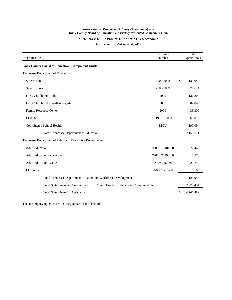# *SCHEDULE OF EXPENDITURES OF STATE AWARDS*

*For the Year Ended June 30, 2009*

| Program Title                                                                     | Identifying<br>Number | <b>State</b><br>Expenditures |
|-----------------------------------------------------------------------------------|-----------------------|------------------------------|
| Knox County Board of Education (Component Unit):                                  |                       |                              |
| Tennessee Department of Education:                                                |                       |                              |
| Safe Schools                                                                      | 2007-2008             | 139,040<br>\$                |
| Safe Schools                                                                      | 2008-2009             | 70,614                       |
| Early Childhood - Pilot                                                           | 2009                  | 136,804                      |
| Early Childhood - Pre-Kindergarten                                                | 2009                  | 1,504,849                    |
| Family Resource Center                                                            | 2009                  | 33,300                       |
| <b>LEAPS</b>                                                                      | 119-09-1-023          | 69,810                       |
| Coordinated School Health                                                         | <b>MOU</b>            | 197,094                      |
| Total Tennessee Department of Education                                           |                       | 2,151,511                    |
| Tennessee Department of Labor and Workforce Development:                          |                       |                              |
| <b>Adult Education</b>                                                            | Z-09-213481-00        | 77,447                       |
| <b>Adult Education - Carryover</b>                                                | Z-08-020798-00        | 8,576                        |
| <b>Adult Education - State</b>                                                    | Z-09-216878           | 23,757                       |
| <b>EL Civics</b>                                                                  | Z-08-21213-00         | 16,163                       |
| Total Tennessee Department of Labor and Workforce Development                     |                       | 125,943                      |
| Total State Financial Assistance--Knox County Board of Education (Component Unit) |                       | 2,277,454                    |
| <b>Total State Financial Assistance</b>                                           |                       | 4,767,489<br>S               |

The accompanying notes are an integral part of the schedule.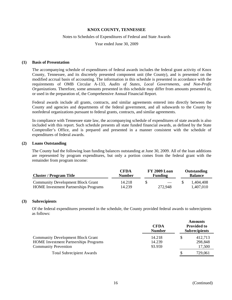# Notes to Schedules of Expenditures of Federal and State Awards

Year ended June 30, 2009

# **(1) Basis of Presentation**

The accompanying schedule of expenditures of federal awards includes the federal grant activity of Knox County, Tennessee, and its discretely presented component unit (the County), and is presented on the modified accrual basis of accounting. The information in this schedule is presented in accordance with the requirements of OMB Circular A-133, *Audits of States, Local Governments, and Non-Profit Organizations.* Therefore, some amounts presented in this schedule may differ from amounts presented in, or used in the preparation of, the Comprehensive Annual Financial Report.

Federal awards include all grants, contracts, and similar agreements entered into directly between the County and agencies and departments of the federal government, and all subawards to the County by nonfederal organizations pursuant to federal grants, contracts, and similar agreements.

In compliance with Tennessee state law, the accompanying schedule of expenditures of state awards is also included with this report. Such schedule presents all state funded financial awards, as defined by the State Comptroller's Office, and is prepared and presented in a manner consistent with the schedule of expenditures of federal awards.

# **(2) Loans Outstanding**

The County had the following loan funding balances outstanding at June 30, 2009. All of the loan additions are represented by program expenditures, but only a portion comes from the federal grant with the remainder from program income:

| <b>Cluster / Program Title</b>                                                           | <b>CFDA</b><br><b>Number</b> | <b>FY 2009 Loan</b><br><b>Funding</b> | Outstanding<br><b>Balance</b> |
|------------------------------------------------------------------------------------------|------------------------------|---------------------------------------|-------------------------------|
| <b>Community Development Block Grant</b><br><b>HOME</b> Investment Partnerships Programs | 14.218<br>14.239             | $\sim$<br>272.948                     | 1.404.408<br>1,407,010        |

# **(3) Subrecipients**

Of the federal expenditures presented in the schedule, the County provided federal awards to subrecipients as follows:

|                                              | <b>CFDA</b><br><b>Number</b> | <b>Amounts</b><br><b>Provided to</b><br><b>Subrecipients</b> |         |
|----------------------------------------------|------------------------------|--------------------------------------------------------------|---------|
| <b>Community Development Block Grant</b>     | 14.218                       |                                                              | 412,713 |
| <b>HOME</b> Investment Partnerships Programs | 14.239                       |                                                              | 298,848 |
| <b>Community Prevention</b>                  | 93.959                       |                                                              | 17,500  |
| <b>Total Subrecipient Awards</b>             |                              |                                                              | 729.061 |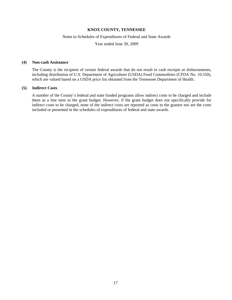# Notes to Schedules of Expenditures of Federal and State Awards

Year ended June 30, 2009

# **(4) Non-cash Assistance**

The County is the recipient of certain federal awards that do not result in cash receipts or disbursements, including distribution of U.S. Department of Agriculture (USDA) Food Commodities (CFDA No. 10.550), which are valued based on a USDA price list obtained from the Tennessee Department of Health.

# **(5) Indirect Costs**

A number of the County's federal and state funded programs allow indirect costs to be charged and include them as a line item in the grant budget. However, if the grant budget does not specifically provide for indirect costs to be charged, none of the indirect costs are reported as costs to the grantor nor are the costs included or presented in the schedules of expenditures of federal and state awards.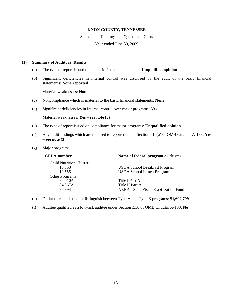# Schedule of Findings and Questioned Costs

Year ended June 30, 2009

# **(1) Summary of Auditors' Results**

- (a) The type of report issued on the basic financial statements: **Unqualified opinion**
- (b) Significant deficiencies in internal control was disclosed by the audit of the basic financial statements: **None reported**

Material weaknesses: **None**

- (c) Noncompliance which is material to the basic financial statements: **None**
- (d) Significant deficiencies in internal control over major programs: **Yes**

Material weaknesses: **Yes – see note (3)**

- (e) The type of report issued on compliance for major programs: **Unqualified opinion**
- (f) Any audit findings which are required to reported under Section 510(a) of OMB Circular A-133: **Yes – see note (3)**
- (g) Major programs:

| CFDA number                     | Name of federal program or cluster            |  |
|---------------------------------|-----------------------------------------------|--|
| <b>Child Nutrition Cluster:</b> |                                               |  |
| 10.553                          | <b>USDA School Breakfast Program</b>          |  |
| 10.555                          | <b>USDA School Lunch Program</b>              |  |
| Other Programs:                 |                                               |  |
| 84.010A                         | Title I Part A                                |  |
| 84.367A                         | Title II Part A                               |  |
| 84.394                          | <b>ARRA</b> - State Fiscal Stabilization Fund |  |
|                                 |                                               |  |

- (h) Dollar threshold used to distinguish between Type A and Type B programs: **\$1,602,799**
- (i) Auditee qualified as a low-risk auditee under Section .530 of OMB Circular A-133: **No**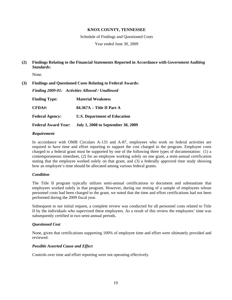Schedule of Findings and Questioned Costs

Year ended June 30, 2009

**(2) Findings Relating to the Financial Statements Reported in Accordance with** *Government Auditing Standards***:** 

None.

# **(3) Findings and Questioned Costs Relating to Federal Awards:**

*Finding 2009-01: Activities Allowed / Unallowed* 

| <b>Finding Type:</b>       | <b>Material Weakness</b>            |
|----------------------------|-------------------------------------|
| $CFDA#$ :                  | 84.367A – Title II Part A           |
| <b>Federal Agency:</b>     | <b>U.S. Department of Education</b> |
| <b>Federal Award Year:</b> | July 1, 2008 to September 30, 2009  |

# *Requirement*

In accordance with OMB Circulars A-133 and A-87, employees who work on federal activities are required to have time and effort reporting to support the cost charged to the program. Employee costs charged to a federal grant must be supported by one of the following three types of documentation: (1) a contemporaneous timesheet, (2) for an employee working solely on one grant, a semi-annual certification stating that the employee worked solely on that grant, and (3) a federally approved time study showing how an employee's time should be allocated among various federal grants.

# *Condition*

The Title II program typically utilizes semi-annual certifications to document and substantiate that employees worked solely in that program. However, during our testing of a sample of employees whose personnel costs had been charged to the grant, we noted that the time and effort certifications had not been performed during the 2009 fiscal year.

Subsequent to our initial request, a complete review was conducted for all personnel costs related to Title II by the individuals who supervised these employees. As a result of this review the employees' time was subsequently certified in two semi-annual periods.

# *Questioned Cost*

None, given that certifications supporting 100% of employee time and effort were ultimately provided and reviewed.

# *Possible Asserted Cause and Effect*

Controls over time and effort reporting were not operating effectively.